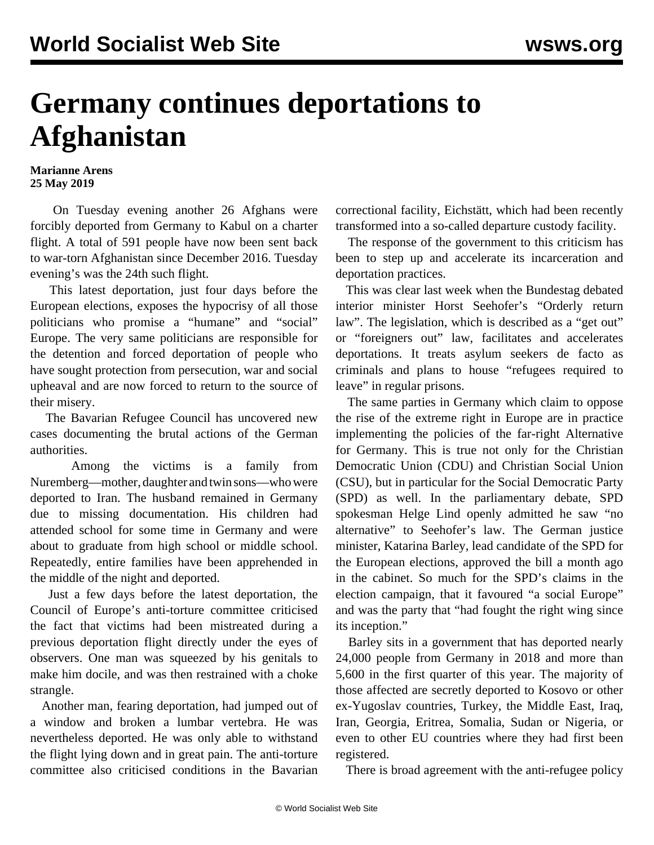## **Germany continues deportations to Afghanistan**

## **Marianne Arens 25 May 2019**

 On Tuesday evening another 26 Afghans were forcibly deported from Germany to Kabul on a charter flight. A total of 591 people have now been sent back to war-torn Afghanistan since December 2016. Tuesday evening's was the 24th such flight.

 This latest deportation, just four days before the European elections, exposes the hypocrisy of all those politicians who promise a "humane" and "social" Europe. The very same politicians are responsible for the detention and forced deportation of people who have sought protection from persecution, war and social upheaval and are now forced to return to the source of their misery.

 The Bavarian Refugee Council has uncovered new cases documenting the brutal actions of the German authorities.

 Among the victims is a family from Nuremberg—mother, daughter and twin sons—who were deported to Iran. The husband remained in Germany due to missing documentation. His children had attended school for some time in Germany and were about to graduate from high school or middle school. Repeatedly, entire families have been apprehended in the middle of the night and deported.

 Just a few days before the latest deportation, the Council of Europe's anti-torture committee criticised the fact that victims had been mistreated during a previous deportation flight directly under the eyes of observers. One man was squeezed by his genitals to make him docile, and was then restrained with a choke strangle.

 Another man, fearing deportation, had jumped out of a window and broken a lumbar vertebra. He was nevertheless deported. He was only able to withstand the flight lying down and in great pain. The anti-torture committee also criticised conditions in the Bavarian

correctional facility, Eichstätt, which had been recently transformed into a so-called departure custody facility.

 The response of the government to this criticism has been to step up and accelerate its incarceration and deportation practices.

 This was clear last week when the Bundestag debated interior minister Horst Seehofer's "Orderly return law". The legislation, which is described as a "get out" or "foreigners out" law, facilitates and accelerates deportations. It treats asylum seekers de facto as criminals and plans to house "refugees required to leave" in regular prisons.

 The same parties in Germany which claim to oppose the rise of the extreme right in Europe are in practice implementing the policies of the far-right Alternative for Germany. This is true not only for the Christian Democratic Union (CDU) and Christian Social Union (CSU), but in particular for the Social Democratic Party (SPD) as well. In the parliamentary debate, SPD spokesman Helge Lind openly admitted he saw "no alternative" to Seehofer's law. The German justice minister, Katarina Barley, lead candidate of the SPD for the European elections, approved the bill a month ago in the cabinet. So much for the SPD's claims in the election campaign, that it favoured "a social Europe" and was the party that "had fought the right wing since its inception."

 Barley sits in a government that has deported nearly 24,000 people from Germany in 2018 and more than 5,600 in the first quarter of this year. The majority of those affected are secretly deported to Kosovo or other ex-Yugoslav countries, Turkey, the Middle East, Iraq, Iran, Georgia, Eritrea, Somalia, Sudan or Nigeria, or even to other EU countries where they had first been registered.

There is broad agreement with the anti-refugee policy